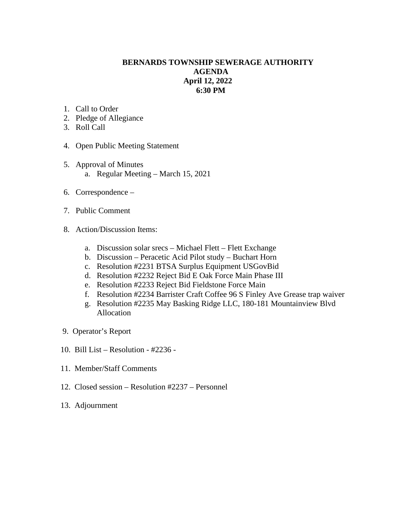## **BERNARDS TOWNSHIP SEWERAGE AUTHORITY AGENDA April 12, 2022 6:30 PM**

- 1. Call to Order
- 2. Pledge of Allegiance
- 3. Roll Call
- 4. Open Public Meeting Statement
- 5. Approval of Minutes a. Regular Meeting – March 15, 2021
- 6. Correspondence –
- 7. Public Comment
- 8. Action/Discussion Items:
	- a. Discussion solar srecs Michael Flett Flett Exchange
	- b. Discussion Peracetic Acid Pilot study Buchart Horn
	- c. Resolution #2231 BTSA Surplus Equipment USGovBid
	- d. Resolution #2232 Reject Bid E Oak Force Main Phase III
	- e. Resolution #2233 Reject Bid Fieldstone Force Main
	- f. Resolution #2234 Barrister Craft Coffee 96 S Finley Ave Grease trap waiver
	- g. Resolution #2235 May Basking Ridge LLC, 180-181 Mountainview Blvd Allocation
- 9. Operator's Report
- 10. Bill List Resolution #2236 -
- 11. Member/Staff Comments
- 12. Closed session Resolution #2237 Personnel
- 13. Adjournment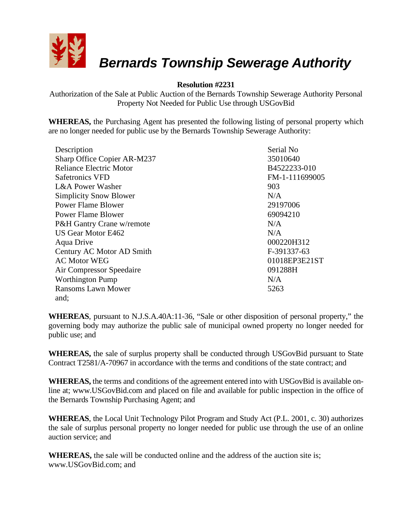

# *Bernards Township Sewerage Authority*

## **Resolution #2231**

Authorization of the Sale at Public Auction of the Bernards Township Sewerage Authority Personal Property Not Needed for Public Use through USGovBid

**WHEREAS,** the Purchasing Agent has presented the following listing of personal property which are no longer needed for public use by the Bernards Township Sewerage Authority:

| Description                    | Serial No      |
|--------------------------------|----------------|
| Sharp Office Copier AR-M237    | 35010640       |
| <b>Reliance Electric Motor</b> | B4522233-010   |
| <b>Safetronics VFD</b>         | FM-1-111699005 |
| L&A Power Washer               | 903            |
| <b>Simplicity Snow Blower</b>  | N/A            |
| <b>Power Flame Blower</b>      | 29197006       |
| Power Flame Blower             | 69094210       |
| P&H Gantry Crane w/remote      | N/A            |
| US Gear Motor E462             | N/A            |
| Aqua Drive                     | 000220H312     |
| Century AC Motor AD Smith      | F-391337-63    |
| <b>AC Motor WEG</b>            | 01018EP3E21ST  |
| Air Compressor Speedaire       | 091288H        |
| <b>Worthington Pump</b>        | N/A            |
| <b>Ransoms Lawn Mower</b>      | 5263           |
| and;                           |                |

**WHEREAS**, pursuant to N.J.S.A.40A:11-36, "Sale or other disposition of personal property," the governing body may authorize the public sale of municipal owned property no longer needed for public use; and

**WHEREAS,** the sale of surplus property shall be conducted through USGovBid pursuant to State Contract T2581/A-70967 in accordance with the terms and conditions of the state contract; and

**WHEREAS,** the terms and conditions of the agreement entered into with USGovBid is available online at; www.USGovBid.com and placed on file and available for public inspection in the office of the Bernards Township Purchasing Agent; and

**WHEREAS**, the Local Unit Technology Pilot Program and Study Act (P.L. 2001, c. 30) authorizes the sale of surplus personal property no longer needed for public use through the use of an online auction service; and

**WHEREAS,** the sale will be conducted online and the address of the auction site is; www.USGovBid.com; and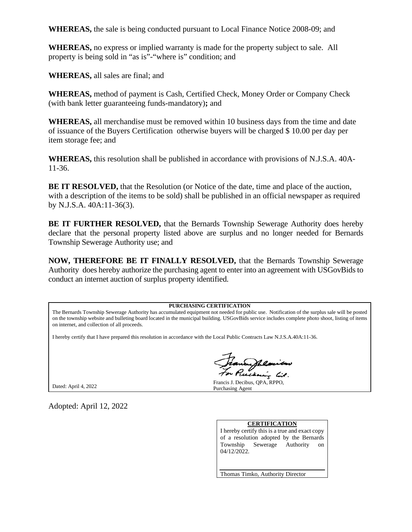**WHEREAS,** the sale is being conducted pursuant to Local Finance Notice 2008-09; and

**WHEREAS,** no express or implied warranty is made for the property subject to sale. All property is being sold in "as is"-"where is" condition; and

**WHEREAS,** all sales are final; and

**WHEREAS,** method of payment is Cash, Certified Check, Money Order or Company Check (with bank letter guaranteeing funds-mandatory)**;** and

**WHEREAS,** all merchandise must be removed within 10 business days from the time and date of issuance of the Buyers Certification otherwise buyers will be charged \$ 10.00 per day per item storage fee; and

**WHEREAS,** this resolution shall be published in accordance with provisions of N.J.S.A. 40A-11-36.

**BE IT RESOLVED,** that the Resolution (or Notice of the date, time and place of the auction, with a description of the items to be sold) shall be published in an official newspaper as required by N.J.S.A. 40A:11-36(3).

**BE IT FURTHER RESOLVED,** that the Bernards Township Sewerage Authority does hereby declare that the personal property listed above are surplus and no longer needed for Bernards Township Sewerage Authority use; and

**NOW, THEREFORE BE IT FINALLY RESOLVED,** that the Bernards Township Sewerage Authority does hereby authorize the purchasing agent to enter into an agreement with USGovBids to conduct an internet auction of surplus property identified.

#### **PURCHASING CERTIFICATION**

The Bernards Township Sewerage Authority has accumulated equipment not needed for public use. Notification of the surplus sale will be posted on the township website and bulleting board located in the municipal building. USGovBids service includes complete photo shoot, listing of items on internet, and collection of all proceeds.

I hereby certify that I have prepared this resolution in accordance with the Local Public Contracts Law N.J.S.A.40A:11-36.

Dated: April 4, 2022

Adopted: April 12, 2022

my list.

Francis J. Decibus, QPA, RPPO, Purchasing Agent

#### **CERTIFICATION**

I hereby certify this is a true and exact copy of a resolution adopted by the Bernards Township Sewerage Authority on 04/12/2022.

Thomas Timko, Authority Director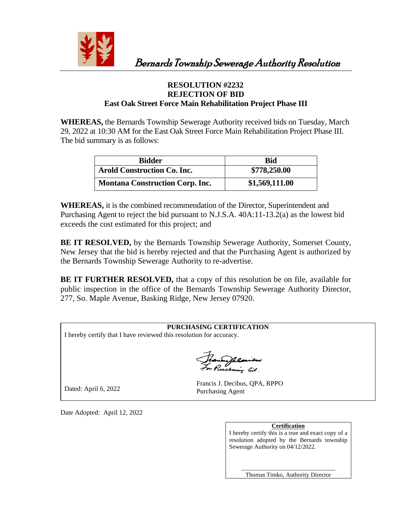

## **RESOLUTION #2232 REJECTION OF BID East Oak Street Force Main Rehabilitation Project Phase III**

**WHEREAS,** the Bernards Township Sewerage Authority received bids on Tuesday, March 29, 2022 at 10:30 AM for the East Oak Street Force Main Rehabilitation Project Phase III. The bid summary is as follows:

| <b>Bidder</b>                          | Bid            |
|----------------------------------------|----------------|
| <b>Arold Construction Co. Inc.</b>     | \$778,250.00   |
| <b>Montana Construction Corp. Inc.</b> | \$1,569,111.00 |

**WHEREAS,** it is the combined recommendation of the Director, Superintendent and Purchasing Agent to reject the bid pursuant to N.J.S.A. 40A:11-13.2(a) as the lowest bid exceeds the cost estimated for this project; and

**BE IT RESOLVED,** by the Bernards Township Sewerage Authority, Somerset County, New Jersey that the bid is hereby rejected and that the Purchasing Agent is authorized by the Bernards Township Sewerage Authority to re-advertise.

**BE IT FURTHER RESOLVED,** that a copy of this resolution be on file, available for public inspection in the office of the Bernards Township Sewerage Authority Director, 277, So. Maple Avenue, Basking Ridge, New Jersey 07920.

| <b>PURCHASING CERTIFICATION</b>                                     |                                                          |  |
|---------------------------------------------------------------------|----------------------------------------------------------|--|
| I hereby certify that I have reviewed this resolution for accuracy. |                                                          |  |
| Francyhlaiten                                                       |                                                          |  |
| Dated: April 6, 2022                                                | Francis J. Decibus, QPA, RPPO<br><b>Purchasing Agent</b> |  |

Date Adopted: April 12, 2022

**Certification**

I hereby certify this is a true and exact copy of a resolution adopted by the Bernards township Sewerage Authority on 04/12/2022.

 \_\_\_\_\_\_\_\_\_\_\_\_\_\_\_\_\_\_\_\_\_\_\_\_\_\_\_\_\_\_\_ Thomas Timko, Authority Director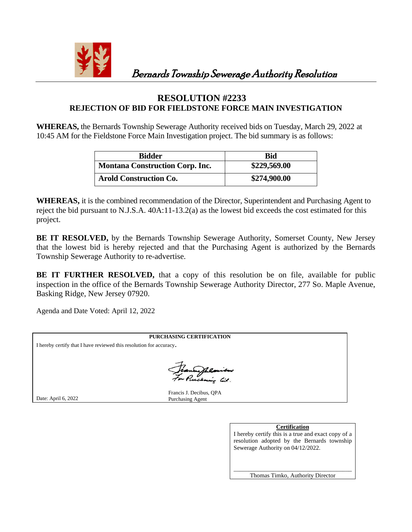

Bernards Township Sewerage Authority Resolution

## **RESOLUTION #2233 REJECTION OF BID FOR FIELDSTONE FORCE MAIN INVESTIGATION**

**WHEREAS,** the Bernards Township Sewerage Authority received bids on Tuesday, March 29, 2022 at 10:45 AM for the Fieldstone Force Main Investigation project. The bid summary is as follows:

| <b>Bidder</b>                          | Bid          |
|----------------------------------------|--------------|
| <b>Montana Construction Corp. Inc.</b> | \$229,569.00 |
| <b>Arold Construction Co.</b>          | \$274,900.00 |

**WHEREAS,** it is the combined recommendation of the Director, Superintendent and Purchasing Agent to reject the bid pursuant to N.J.S.A. 40A:11-13.2(a) as the lowest bid exceeds the cost estimated for this project.

**BE IT RESOLVED,** by the Bernards Township Sewerage Authority, Somerset County, New Jersey that the lowest bid is hereby rejected and that the Purchasing Agent is authorized by the Bernards Township Sewerage Authority to re-advertise.

**BE IT FURTHER RESOLVED,** that a copy of this resolution be on file, available for public inspection in the office of the Bernards Township Sewerage Authority Director, 277 So. Maple Avenue, Basking Ridge, New Jersey 07920.

Agenda and Date Voted: April 12, 2022

|                                                                     | <b>PURCHASING CERTIFICATION</b>                    |  |
|---------------------------------------------------------------------|----------------------------------------------------|--|
| I hereby certify that I have reviewed this resolution for accuracy. |                                                    |  |
|                                                                     |                                                    |  |
|                                                                     |                                                    |  |
|                                                                     | Jeanne Phlaisieur                                  |  |
|                                                                     |                                                    |  |
| Date: April 6, 2022                                                 | Francis J. Decibus, QPA<br><b>Purchasing Agent</b> |  |

### **Certification**

I hereby certify this is a true and exact copy of a resolution adopted by the Bernards township Sewerage Authority on 04/12/2022.

\_\_\_\_\_\_\_\_\_\_\_\_\_\_\_\_\_\_\_\_\_\_\_\_\_\_\_\_\_\_\_\_\_\_\_\_\_\_\_ Thomas Timko, Authority Director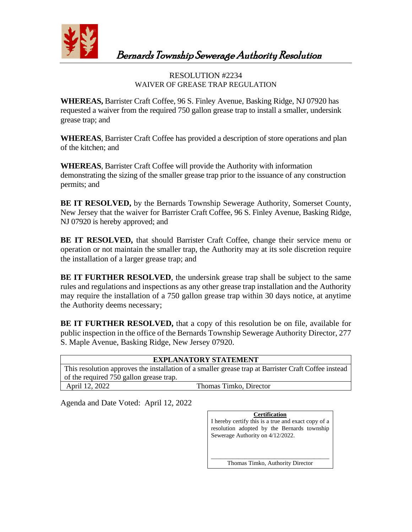

Bernards Township Sewerage Authority Resolution

## RESOLUTION #2234 WAIVER OF GREASE TRAP REGULATION

**WHEREAS,** Barrister Craft Coffee, 96 S. Finley Avenue, Basking Ridge, NJ 07920 has requested a waiver from the required 750 gallon grease trap to install a smaller, undersink grease trap; and

**WHEREAS**, Barrister Craft Coffee has provided a description of store operations and plan of the kitchen; and

**WHEREAS**, Barrister Craft Coffee will provide the Authority with information demonstrating the sizing of the smaller grease trap prior to the issuance of any construction permits; and

**BE IT RESOLVED,** by the Bernards Township Sewerage Authority, Somerset County, New Jersey that the waiver for Barrister Craft Coffee, 96 S. Finley Avenue, Basking Ridge, NJ 07920 is hereby approved; and

**BE IT RESOLVED,** that should Barrister Craft Coffee, change their service menu or operation or not maintain the smaller trap, the Authority may at its sole discretion require the installation of a larger grease trap; and

**BE IT FURTHER RESOLVED**, the undersink grease trap shall be subject to the same rules and regulations and inspections as any other grease trap installation and the Authority may require the installation of a 750 gallon grease trap within 30 days notice, at anytime the Authority deems necessary;

**BE IT FURTHER RESOLVED,** that a copy of this resolution be on file, available for public inspection in the office of the Bernards Township Sewerage Authority Director, 277 S. Maple Avenue, Basking Ridge, New Jersey 07920.

| <b>EXPLANATORY STATEMENT</b>            |                                                                                                      |  |
|-----------------------------------------|------------------------------------------------------------------------------------------------------|--|
|                                         | This resolution approves the installation of a smaller grease trap at Barrister Craft Coffee instead |  |
| of the required 750 gallon grease trap. |                                                                                                      |  |
| April 12, 2022                          | Thomas Timko, Director                                                                               |  |

Agenda and Date Voted: April 12, 2022

**Certification** I hereby certify this is a true and exact copy of a resolution adopted by the Bernards township Sewerage Authority on 4/12/2022. \_\_\_\_\_\_\_\_\_\_\_\_\_\_\_\_\_\_\_\_\_\_\_\_\_\_\_\_\_\_\_\_\_\_\_\_\_\_\_ Thomas Timko, Authority Director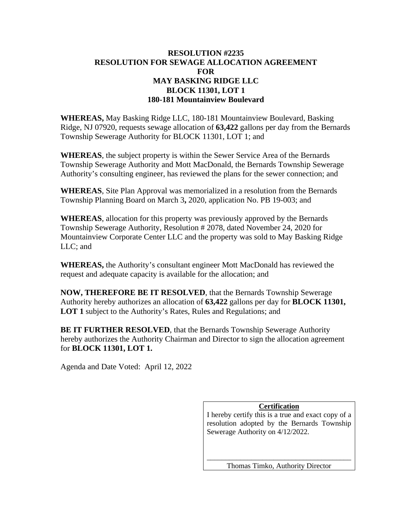## **RESOLUTION #2235 RESOLUTION FOR SEWAGE ALLOCATION AGREEMENT FOR MAY BASKING RIDGE LLC BLOCK 11301, LOT 1 180-181 Mountainview Boulevard**

**WHEREAS,** May Basking Ridge LLC, 180-181 Mountainview Boulevard, Basking Ridge, NJ 07920, requests sewage allocation of **63,422** gallons per day from the Bernards Township Sewerage Authority for BLOCK 11301, LOT 1; and

**WHEREAS**, the subject property is within the Sewer Service Area of the Bernards Township Sewerage Authority and Mott MacDonald, the Bernards Township Sewerage Authority's consulting engineer, has reviewed the plans for the sewer connection; and

**WHEREAS**, Site Plan Approval was memorialized in a resolution from the Bernards Township Planning Board on March 3**,** 2020, application No. PB 19-003; and

**WHEREAS**, allocation for this property was previously approved by the Bernards Township Sewerage Authority, Resolution # 2078, dated November 24, 2020 for Mountainview Corporate Center LLC and the property was sold to May Basking Ridge LLC; and

**WHEREAS,** the Authority's consultant engineer Mott MacDonald has reviewed the request and adequate capacity is available for the allocation; and

**NOW, THEREFORE BE IT RESOLVED**, that the Bernards Township Sewerage Authority hereby authorizes an allocation of **63,422** gallons per day for **BLOCK 11301, LOT 1** subject to the Authority's Rates, Rules and Regulations; and

**BE IT FURTHER RESOLVED**, that the Bernards Township Sewerage Authority hereby authorizes the Authority Chairman and Director to sign the allocation agreement for **BLOCK 11301, LOT 1.**

Agenda and Date Voted: April 12, 2022

## **Certification**

I hereby certify this is a true and exact copy of a resolution adopted by the Bernards Township Sewerage Authority on 4/12/2022.

\_\_\_\_\_\_\_\_\_\_\_\_\_\_\_\_\_\_\_\_\_\_\_\_\_\_\_\_\_\_\_\_\_\_\_\_\_\_\_ Thomas Timko, Authority Director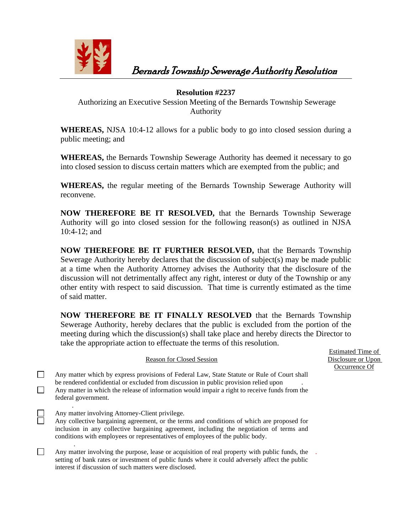

Bernards Township Sewerage Authority Resolution

## **Resolution #2237**

Authorizing an Executive Session Meeting of the Bernards Township Sewerage Authority

**WHEREAS,** NJSA 10:4-12 allows for a public body to go into closed session during a public meeting; and

**WHEREAS,** the Bernards Township Sewerage Authority has deemed it necessary to go into closed session to discuss certain matters which are exempted from the public; and

**WHEREAS,** the regular meeting of the Bernards Township Sewerage Authority will reconvene.

**NOW THEREFORE BE IT RESOLVED,** that the Bernards Township Sewerage Authority will go into closed session for the following reason(s) as outlined in NJSA 10:4-12; and

**NOW THEREFORE BE IT FURTHER RESOLVED,** that the Bernards Township Sewerage Authority hereby declares that the discussion of subject(s) may be made public at a time when the Authority Attorney advises the Authority that the disclosure of the discussion will not detrimentally affect any right, interest or duty of the Township or any other entity with respect to said discussion. That time is currently estimated as the time of said matter.

**NOW THEREFORE BE IT FINALLY RESOLVED** that the Bernards Township Sewerage Authority, hereby declares that the public is excluded from the portion of the meeting during which the discussion(s) shall take place and hereby directs the Director to take the appropriate action to effectuate the terms of this resolution.

| <b>Reason for Closed Session</b> |                                                                                                                                                                                                                                                                                                                            |  |  |
|----------------------------------|----------------------------------------------------------------------------------------------------------------------------------------------------------------------------------------------------------------------------------------------------------------------------------------------------------------------------|--|--|
|                                  | Any matter which by express provisions of Federal Law, State Statute or Rule of Court shall<br>be rendered confidential or excluded from discussion in public provision relied upon<br>Any matter in which the release of information would impair a right to receive funds from the<br>federal government.                |  |  |
|                                  | Any matter involving Attorney-Client privilege.<br>Any collective bargaining agreement, or the terms and conditions of which are proposed for<br>inclusion in any collective bargaining agreement, including the negotiation of terms and<br>conditions with employees or representatives of employees of the public body. |  |  |
|                                  | Any matter involving the purpose, lease or acquisition of real property with public funds, the                                                                                                                                                                                                                             |  |  |

setting of bank rates or investment of public funds where it could adversely affect the public

interest if discussion of such matters were disclosed.

Estimated Time of Disclosure or Upon Occurrence Of